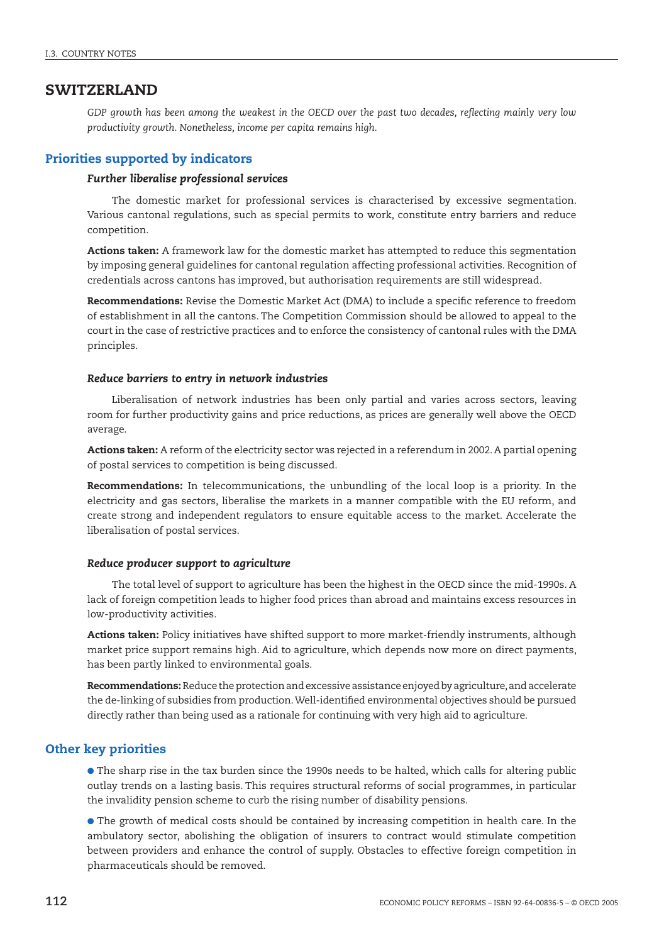## SWITZERLAND

*GDP growth has been among the weakest in the OECD over the past two decades, reflecting mainly very low productivity growth. Nonetheless, income per capita remains high.*

## Priorities supported by indicators

#### *Further liberalise professional services*

The domestic market for professional services is characterised by excessive segmentation. Various cantonal regulations, such as special permits to work, constitute entry barriers and reduce competition.

Actions taken: A framework law for the domestic market has attempted to reduce this segmentation by imposing general guidelines for cantonal regulation affecting professional activities. Recognition of credentials across cantons has improved, but authorisation requirements are still widespread.

Recommendations: Revise the Domestic Market Act (DMA) to include a specific reference to freedom of establishment in all the cantons. The Competition Commission should be allowed to appeal to the court in the case of restrictive practices and to enforce the consistency of cantonal rules with the DMA principles.

#### *Reduce barriers to entry in network industries*

Liberalisation of network industries has been only partial and varies across sectors, leaving room for further productivity gains and price reductions, as prices are generally well above the OECD average.

Actions taken: A reform of the electricity sector was rejected in a referendum in 2002. A partial opening of postal services to competition is being discussed.

Recommendations: In telecommunications, the unbundling of the local loop is a priority. In the electricity and gas sectors, liberalise the markets in a manner compatible with the EU reform, and create strong and independent regulators to ensure equitable access to the market. Accelerate the liberalisation of postal services.

#### *Reduce producer support to agriculture*

The total level of support to agriculture has been the highest in the OECD since the mid-1990s. A lack of foreign competition leads to higher food prices than abroad and maintains excess resources in low-productivity activities.

Actions taken: Policy initiatives have shifted support to more market-friendly instruments, although market price support remains high. Aid to agriculture, which depends now more on direct payments, has been partly linked to environmental goals.

Recommendations: Reduce the protection and excessive assistance enjoyed by agriculture, and accelerate the de-linking of subsidies from production. Well-identified environmental objectives should be pursued directly rather than being used as a rationale for continuing with very high aid to agriculture.

### Other key priorities

● The sharp rise in the tax burden since the 1990s needs to be halted, which calls for altering public outlay trends on a lasting basis. This requires structural reforms of social programmes, in particular the invalidity pension scheme to curb the rising number of disability pensions.

● The growth of medical costs should be contained by increasing competition in health care. In the ambulatory sector, abolishing the obligation of insurers to contract would stimulate competition between providers and enhance the control of supply. Obstacles to effective foreign competition in pharmaceuticals should be removed.